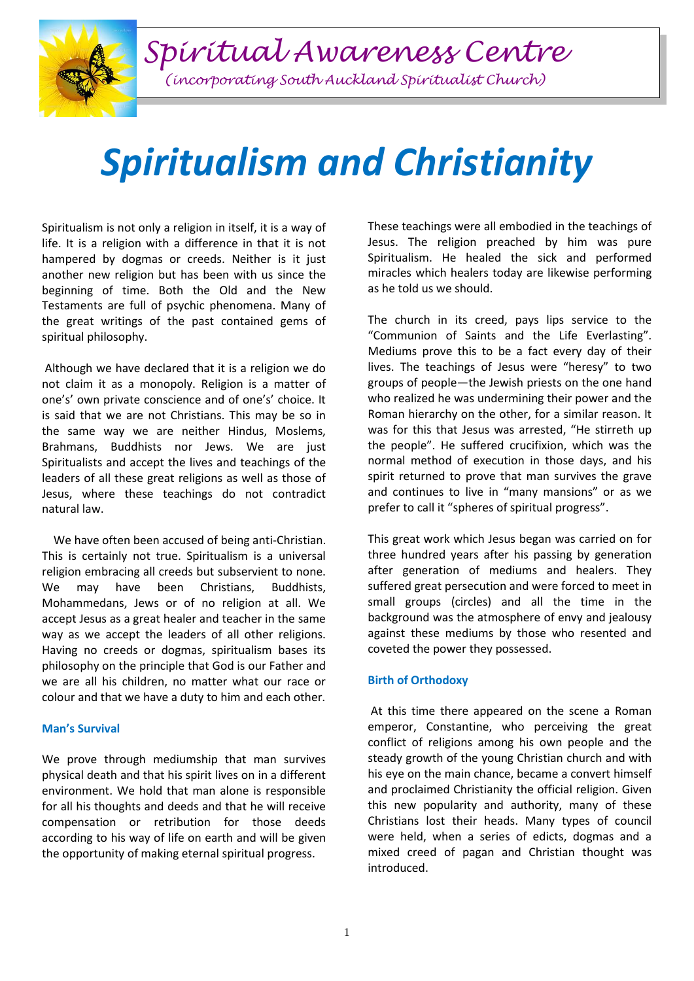*Spiritual Awareness Centre*

*(incorporating South Auckland Spiritualist Church)*

## *Spiritualism and Christianity*

Spiritualism is not only a religion in itself, it is a way of life. It is a religion with a difference in that it is not hampered by dogmas or creeds. Neither is it just another new religion but has been with us since the beginning of time. Both the Old and the New Testaments are full of psychic phenomena. Many of the great writings of the past contained gems of spiritual philosophy.

Although we have declared that it is a religion we do not claim it as a monopoly. Religion is a matter of one's' own private conscience and of one's' choice. It is said that we are not Christians. This may be so in the same way we are neither Hindus, Moslems, Brahmans, Buddhists nor Jews. We are just Spiritualists and accept the lives and teachings of the leaders of all these great religions as well as those of Jesus, where these teachings do not contradict natural law.

 We have often been accused of being anti-Christian. This is certainly not true. Spiritualism is a universal religion embracing all creeds but subservient to none. We may have been Christians, Buddhists, Mohammedans, Jews or of no religion at all. We accept Jesus as a great healer and teacher in the same way as we accept the leaders of all other religions. Having no creeds or dogmas, spiritualism bases its philosophy on the principle that God is our Father and we are all his children, no matter what our race or colour and that we have a duty to him and each other.

## **Man's Survival**

We prove through mediumship that man survives physical death and that his spirit lives on in a different environment. We hold that man alone is responsible for all his thoughts and deeds and that he will receive compensation or retribution for those deeds according to his way of life on earth and will be given the opportunity of making eternal spiritual progress.

These teachings were all embodied in the teachings of Jesus. The religion preached by him was pure Spiritualism. He healed the sick and performed miracles which healers today are likewise performing as he told us we should.

The church in its creed, pays lips service to the "Communion of Saints and the Life Everlasting". Mediums prove this to be a fact every day of their lives. The teachings of Jesus were "heresy" to two groups of people—the Jewish priests on the one hand who realized he was undermining their power and the Roman hierarchy on the other, for a similar reason. It was for this that Jesus was arrested, "He stirreth up the people". He suffered crucifixion, which was the normal method of execution in those days, and his spirit returned to prove that man survives the grave and continues to live in "many mansions" or as we prefer to call it "spheres of spiritual progress".

This great work which Jesus began was carried on for three hundred years after his passing by generation after generation of mediums and healers. They suffered great persecution and were forced to meet in small groups (circles) and all the time in the background was the atmosphere of envy and jealousy against these mediums by those who resented and coveted the power they possessed.

## **Birth of Orthodoxy**

At this time there appeared on the scene a Roman emperor, Constantine, who perceiving the great conflict of religions among his own people and the steady growth of the young Christian church and with his eye on the main chance, became a convert himself and proclaimed Christianity the official religion. Given this new popularity and authority, many of these Christians lost their heads. Many types of council were held, when a series of edicts, dogmas and a mixed creed of pagan and Christian thought was introduced.